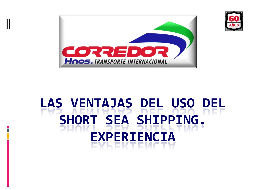



# **LAS VENTAJAS DEL USO DEL SHORT SEA SHIPPING. EXPERIENCIA**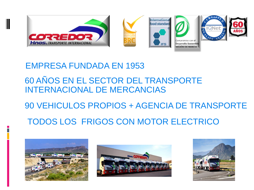

### EMPRESA FUNDADA EN 1953

### 60 AÑOS EN EL SECTOR DEL TRANSPORTE INTERNACIONAL DE MERCANCIAS

## 90 VEHICULOS PROPIOS + AGENCIA DE TRANSPORTE

# TODOS LOS FRIGOS CON MOTOR ELECTRICO





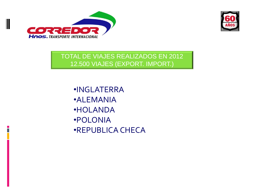



TOTAL DE VIAJES REALIZADOS EN 2012 12.500 VIAJES (EXPORT. IMPORT.)

•INGLATERRA •ALEMANIA •HOLANDA •POLONIA •REPUBLICA CHECA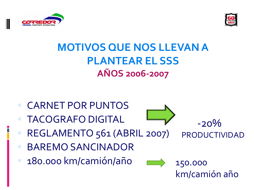



# **MOTIVOS QUE NOS LLEVAN A PLANTEAR EL SSS AÑOS 2006-2007**

 CARNET POR PUNTOS TACOGRAFO DIGITAL



 $-20\%$ PRODUCTIVIDAD

- REGLAMENTO 561 (ABRIL 2007)
- BAREMO SANCINADOR
- 180.000 km/camión/año



150.000 km/camión año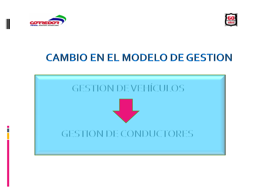



# **CAMBIO EN EL MODELO DE GESTION**

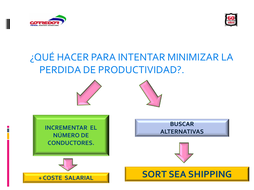



# ¿QUÉ HACER PARA INTENTAR MINIMIZAR LA PERDIDA DE PRODUCTIVIDAD?.

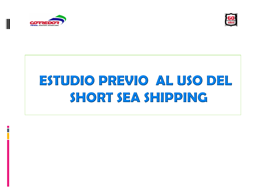



# ESTUDIO PREVIO AL USO DEL SHORT SEA SHIPPING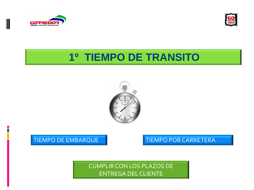



# **1º TIEMPO DE TRANSITO**



#### TIEMPO DE EMBARQUE TIEMPO POR CARRETERA

CUMPLIR CON LOS PLAZOS DE ENTREGA DEL CLIENTE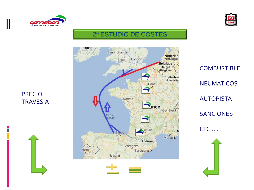



#### 2º ESTUDIO DE COSTES



**COMBUSTIBLE NEUMATICOS AUTOPISTA SANCIONES** ETC.....



**PRECIO TRAVESIA**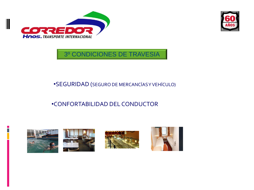



3º CONDICIONES DE TRAVESIA

#### •SEGURIDAD (SEGURO DE MERCANCÍAS Y VEHÍCULO)

#### •CONFORTABILIDAD DEL CONDUCTOR

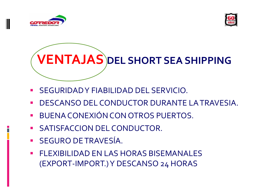



**VENTAJAS DEL SHORT SEA SHIPPING**

- SEGURIDAD Y FIABILIDAD DEL SERVICIO.
- DESCANSO DEL CONDUCTOR DURANTE LA TRAVESIA.
- **BUENA CONEXIÓN CON OTROS PUERTOS.**
- **SATISFACCION DEL CONDUCTOR.**
- SEGURO DE TRAVESÍA.
- **FLEXIBILIDAD EN LAS HORAS BISEMANALES** (EXPORT-IMPORT.) Y DESCANSO 24 HORAS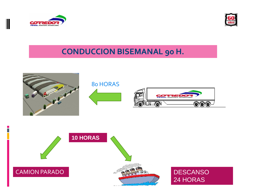



### **CONDUCCION BISEMANAL 90 H.**





**DESCANSO** 24 HORAS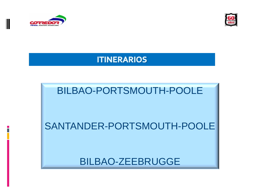



#### **ITINERARIOS**

# BILBAO-PORTSMOUTH-POOLE

# SANTANDER-PORTSMOUTH-POOLE

BILBAO-ZEEBRUGGE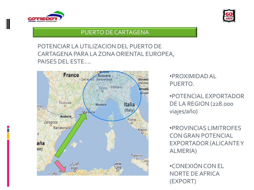



#### PUERTO DE CARTAGENA

#### POTENCIAR LA UTILIZACION DEL PUERTO DE CARTAGENA PARA LA ZONA ORIENTAL EUROPEA, PAISES DEL ESTE….



•PROXIMIDAD AL PUERTO.

•POTENCIAL EXPORTADOR DE LA REGION (228.000 viajes/año)

•PROVINCIAS LIMITROFES CON GRAN POTENCIAL EXPORTADOR (ALICANTE Y ALMERIA)

•CONEXIÓN CON EL NORTE DE AFRICA (EXPORT)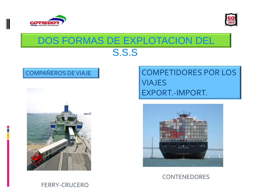



# DOS FORMAS DE EXPLOTACION DEL S.S.S.



## COMPAÑEROS DE VIAJE | COMPETIDORES POR LOS VIAJES EXPORT.-IMPORT.



#### **CONTENEDORES**

#### FERRY-CRUCERO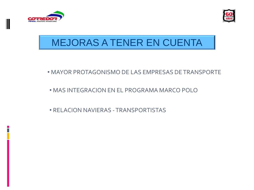



# MEJORAS A TENER EN CUENTA

- MAYOR PROTAGONISMO DE LAS EMPRESAS DE TRANSPORTE
- MAS INTEGRACION EN EL PROGRAMA MARCO POLO
- RELACION NAVIERAS -TRANSPORTISTAS